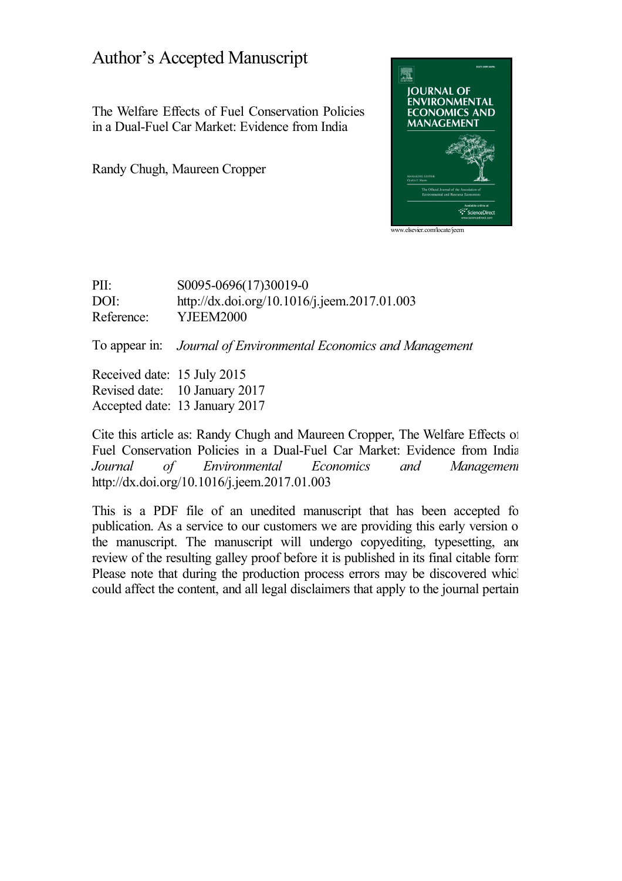## Author's Accepted Manuscript

The Welfare Effects of Fuel Conservation Policies in a Dual-Fuel Car Market: Evidence from India

Randy Chugh, Maureen Cropper



PII: S0095-0696(17)30019-0 DOI: <http://dx.doi.org/10.1016/j.jeem.2017.01.003> Reference: YJEEM2000

To appear in: *Journal of Environmental Economics and Management*

Received date: 15 July 2015 Revised date: 10 January 2017 Accepted date: 13 January 2017

Cite this article as: Randy Chugh and Maureen Cropper, The Welfare Effects of Fuel Conservation Policies in a Dual-Fuel Car Market: Evidence from India, *Journal of Environmental Economics and Management,* <http://dx.doi.org/10.1016/j.jeem.2017.01.003>

This is a PDF file of an unedited manuscript that has been accepted for publication. As a service to our customers we are providing this early version of the manuscript. The manuscript will undergo copyediting, typesetting, and review of the resulting galley proof before it is published in its final citable form. Please note that during the production process errors may be discovered which could affect the content, and all legal disclaimers that apply to the journal pertain.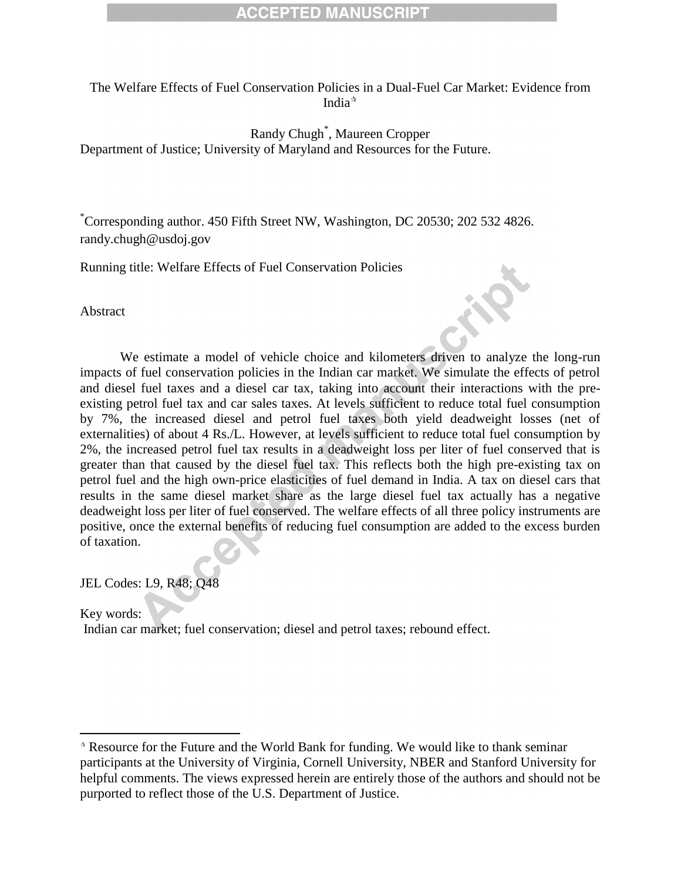The Welfare Effects of Fuel Conservation Policies in a Dual-Fuel Car Market: Evidence from India $\mathbf{\hat{a}}$ 

Randy Chugh\* , Maureen Cropper Department of Justice; University of Maryland and Resources for the Future.

\*Corresponding author. 450 Fifth Street NW, Washington, DC 20530; 202 532 4826. [randy.chugh@usdoj.gov](mailto:randy.chugh@usdoj.gov)

Running title: Welfare Effects of Fuel Conservation Policies

Abstract

We estimate a model of vehicle choice and kilometers driven to analyze the long-run impacts of fuel conservation policies in the Indian car market. We simulate the effects of petrol and diesel fuel taxes and a diesel car tax, taking into account their interactions with the preexisting petrol fuel tax and car sales taxes. At levels sufficient to reduce total fuel consumption by 7%, the increased diesel and petrol fuel taxes both yield deadweight losses (net of externalities) of about 4 Rs./L. However, at levels sufficient to reduce total fuel consumption by 2%, the increased petrol fuel tax results in a deadweight loss per liter of fuel conserved that is greater than that caused by the diesel fuel tax. This reflects both the high pre-existing tax on petrol fuel and the high own-price elasticities of fuel demand in India. A tax on diesel cars that results in the same diesel market share as the large diesel fuel tax actually has a negative deadweight loss per liter of fuel conserved. The welfare effects of all three policy instruments are positive, once the external benefits of reducing fuel consumption are added to the excess burden of taxation.

JEL Codes: L9, R48; Q48

 $\overline{a}$ 

Key words: Indian car market; fuel conservation; diesel and petrol taxes; rebound effect.

Resource for the Future and the World Bank for funding. We would like to thank seminar participants at the University of Virginia, Cornell University, NBER and Stanford University for helpful comments. The views expressed herein are entirely those of the authors and should not be purported to reflect those of the U.S. Department of Justice.